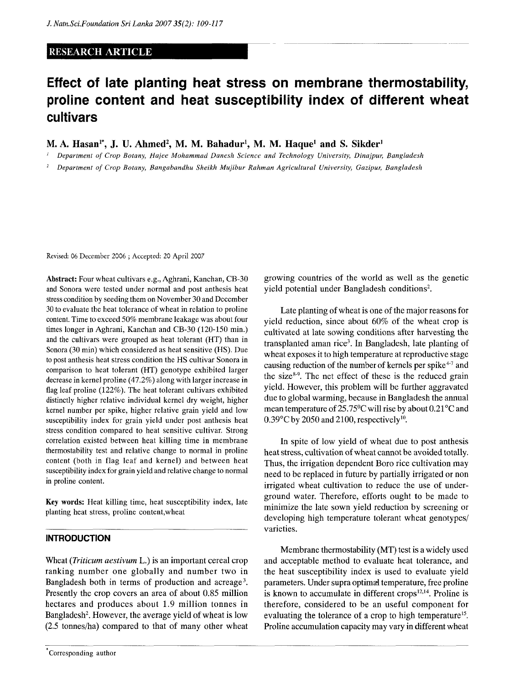### **RESEARCH ARTICLE**

# **Effect of late planting heat stress on membrane thermostability, proline content and heat susceptibility index of different wheat cultivars**

**M. A. Hasan<sup>1</sup> \*, J. U. Ahmed<sup>2</sup> , M. M. Bahadur<sup>1</sup> , M. M. Haque<sup>1</sup> and S. Sikder<sup>1</sup>**

*1 Department of Crop Botany, Hajee Mohammad Danesh Science and Technology University, Dinajpur, Bangladesh* 

*2 Department of Crop Botany, Bangabandhu Sheikh Mujibur Rahman Agricultural University, Gazipur, Bangladesh* 

Revised: 06 December 2006 ; Accepted: 20 April 2007

Abstract: Four wheat cultivars e.g., Aghrani, Kanchan, CB-30 and Sonora were tested under normal and post anthesis heat stress condition by seeding them on November 30 and December 30 to evaluate the heat tolerance of wheat in relation to proline content. Time to exceed 50% membrane leakage was about four times longer in Aghrani, Kanchan and CB-30 (120-150 min.) and the cultivars were grouped as heat tolerant (HT) than in Sonora (30 min) which considered as heat sensitive (HS). Due to post anthesis heat stress condition the HS cultivar Sonora in comparison to heat tolerant (HT) genotype exhibited larger decrease in kernel proline (47.2%) along with larger increase in flag leaf proline (122%). The heat tolerant cultivars exhibited distinctly higher relative individual kernel dry weight, higher kernel number per spike, higher relative grain yield and low susceptibility index for grain yield under post anthesis heat stress condition compared to heat sensitive cultivar. Strong correlation existed between heat killing time in membrane thermostability test and relative change to normal in proline content (both in flag leaf and kernel) and between heat susceptibility index for grain yield and relative change to normal in proline content.

Key words: Heat killing time, heat susceptibility index, late planting heat stress, proline content,wheat

#### **INTRODUCTION**

Wheat *{Triticum aestivum* L.) is an important cereal crop ranking number one globally and number two in Bangladesh both in terms of production and acreage<sup>3</sup>. Presently the crop covers an area of about 0.85 million hectares and produces about 1.9 million tonnes in Bangladesh<sup>2</sup>. However, the average yield of wheat is low (2.5 tonnes/ha) compared to that of many other wheat

growing countries of the world as well as the genetic yield potential under Bangladesh conditions<sup>2</sup> .

Late planting of wheat is one of the major reasons for yield reduction, since about 60% of the wheat crop is cultivated at late sowing conditions after harvesting the transplanted aman rice<sup>3</sup>. In Bangladesh, late planting of wheat exposes it to high temperature at reproductive stage causing reduction of the number of kernels per spike<sup>4-7</sup> and the size<sup>8-9</sup>. The net effect of these is the reduced grain yield. However, this problem will be further aggravated due to global warming, because in Bangladesh the annual mean temperature of 25.75°C will rise by about 0.21°C and  $0.39^{\circ}$ C by 2050 and 2100, respectively<sup>10</sup>.

In spite of low yield of wheat due to post anthesis heat stress, cultivation of wheat cannot be avoided totally. Thus, the irrigation dependent Boro rice cultivation may need to be replaced in future by partially irrigated or non irrigated wheat cultivation to reduce the use of underground water. Therefore, efforts ought to be made to minimize the late sown yield reduction by screening or developing high temperature tolerant wheat genotypes/ varieties.

Membrane thermostability (MT) test is a widely used and acceptable method to evaluate heat tolerance, and the heat susceptibility index is used to evaluate yield parameters. Under supra optimal temperature, free proline is known to accumulate in different  $crops<sup>12,14</sup>$ . Proline is therefore, considered to be an useful component for evaluating the tolerance of a crop to high temperature<sup>15</sup>. Proline accumulation capacity may vary in different wheat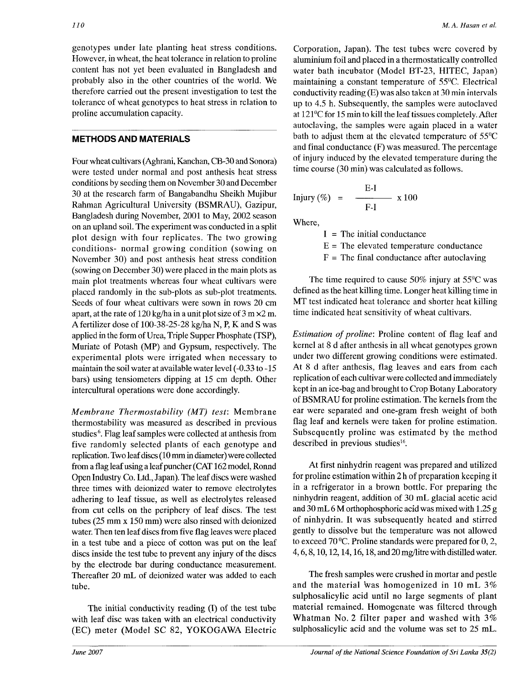genotypes under late planting heat stress conditions. However, in wheat, the heat tolerance *in* relation to proline content has not yet been evaluated in Bangladesh and probably also in the other countries of the world. We therefore carried out the present investigation to test the tolerance of wheat genotypes to heat stress in relation to proline accumulation capacity.

## METHODS AND MATERIALS

Four wheat cultivars (Aghrani, Kanchan, CB-30 and Sonora) were tested under normal and post anthesis heat stress conditions by seeding them on November 30 and December 30 at the research farm of Bangabandhu Sheikh Mujibur Rahman Agricultural University (BSMRAU), Gazipur, Bangladesh during November, 2001 to May, 2002 season on an upland soil. The experiment was conducted in a split plot design with four replicates. The two growing conditions- normal growing condition (sowing on November 30) and post anthesis heat stress condition (sowing on December 30) were placed in the main plots as main plot treatments whereas four wheat cultivars were placed randomly in the sub-plots as sub-plot treatments. Seeds of four wheat cultivars were sown in rows 20 cm apart, at the rate of  $120 \text{ kg/h}$  in a unit plot size of 3 m  $\times$ 2 m. A fertilizer dose of 100-38-25-28 kg/ha N, P, K and S was applied in the form of Urea, Triple Supper Phosphate (TSP), Muriate of Potash (MP) and Gypsum, respectively. The experimental plots were irrigated when necessary to maintain the soil water at available water level (-0.33 to -15 bars) using tensiometers dipping at 15 cm depth. Other intercultural operations were done accordingly.

*Membrane Thermostability (MT) test:* Membrane thermostability was measured as described in previous studies<sup>6</sup>. Flag leaf samples were collected at anthesis from five randomly selected plants of each genotype and replication. Two leaf discs (10 mm in diameter) were collected from a flag leaf using a leaf puncher (CAT 162 model, Ronnd Open Industry Co. Ltd., Japan). The leaf discs were washed three times with deionized water to remove electrolytes adhering to leaf tissue, as well as electrolytes released from cut cells on the periphery of leaf discs. The test tubes (25 mm x 150 mm) were also rinsed with deionized water. Then ten leaf discs from five flag leaves were placed in a test tube and a piece of cotton was put on the leaf discs inside the test tube to prevent any injury of the discs by the electrode bar during conductance measurement. Thereafter 20 mL of deionized water was added to each tube.

The initial conductivity reading (I) of the test tube with leaf disc was taken with an electrical conductivity (EC) meter (Model SC 82, YOKOGAWA Electric

Corporation, Japan). The test tubes were covered by aluminium foil and placed in a thermostatically controlled water bath incubator (Model BT-23, HITEC, Japan) maintaining a constant temperature of 55°C. Electrical conductivity reading (E) was also taken at 30 min intervals up to 4.5 h. Subsequently, the samples were autoclaved at 121°C for 15 min to kill the leaf tissues completely. After autoclaving, the samples were again placed in a water bath to adjust them at the elevated temperature of 55°C and final conductance (F) was measured. The percentage of injury induced by the elevated temperature during the time course (30 min) was calculated as follows.

$$
Injury (\%) = \frac{E-I}{F-I} \times 100
$$

Where,

 $I =$ The initial conductance

 $E =$ The elevated temperature conductance

 $F =$  The final conductance after autoclaving

The time required to cause 50% injury at 55°C was defined as the heat killing time. Longer heat killing time in MT test indicated heat tolerance and shorter heat killing time indicated heat sensitivity of wheat cultivars.

*Estimation of proline:* Proline content of flag leaf and kernel at 8 d after anthesis in all wheat genotypes grown under two different growing conditions were estimated. At 8 d after anthesis, flag leaves and ears from each replication of each cultivar were collected and immediately kept in an ice-bag and brought to Crop Botany Laboratory of BSMRAU for proline estimation. The kernels from the ear were separated and one-gram fresh weight of both flag leaf and kernels were taken for proline estimation. Subsequently proline was estimated by the method described in previous studies<sup>16</sup>.

At first ninhydrin reagent was prepared and utilized for proline estimation within 2 h of preparation keeping it in a refrigerator in a brown bottle. For preparing the ninhydrin reagent, addition of 30 mL glacial acetic acid and 30 mL 6 M orthophosphoric acid was mixed with 1.25 g of ninhydrin. It was subsequently heated and stirred gently to dissolve but the temperature was not allowed to exceed 70 °C. Proline standards were prepared for 0,2, 4,6,8,10,12,14,16,18, and 20 mg/litre with distilled water.

The fresh samples were crushed in mortar and pestle and the material was homogenized in 10 mL 3% sulphosalicylic acid until no large segments of plant material remained. Homogenate was filtered through Whatman No. 2 filter paper and washed with 3% sulphosalicylic acid and the volume was set to 25 mL.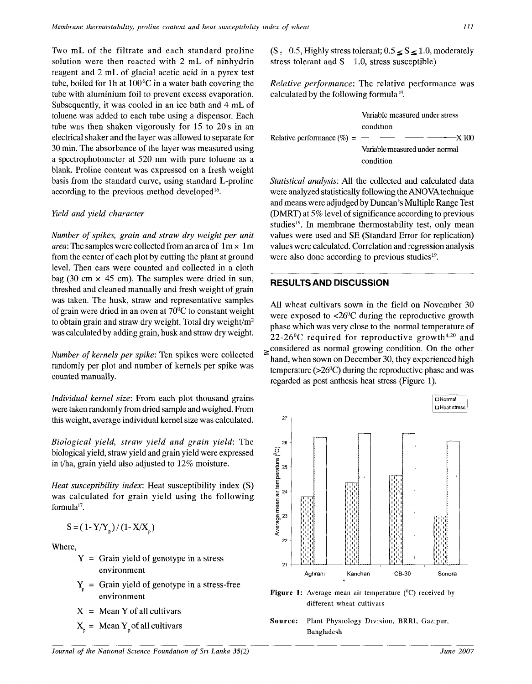Two mL of the filtrate and each standard proline solution were then reacted with 2 mL of ninhydrin reagent and 2 mL of glacial acetic acid in a pyrex test tube, boiled for Ih at 100°C in a water bath covering the tube with aluminium foil to prevent excess evaporation. Subsequently, it was cooled in an ice bath and 4 mL of toluene was added to each tube using a dispensor. Each tube was then shaken vigorously for 15 to 20 s in an electrical shaker and the layer was allowed to separate for 30 min. The absorbance of the layer was measured using a spectrophotometer at 520 nm with pure toluene as a blank. Proline content was expressed on a fresh weight basis from the standard curve, using standard L-proline according to the previous method developed<sup>16</sup>.

#### *Yield and yield character*

*Number of spikes, grain and straw dry weight per unit area*: The samples were collected from an area of  $1m \times 1m$ from the center of each plot by cutting the plant at ground level. Then ears were counted and collected in a cloth bag (30 cm  $\times$  45 cm). The samples were dried in sun, threshed and cleaned manually and fresh weight of grain was taken. The husk, straw and representative samples of grain were dried in an oven at 70°C to constant weight to obtain grain and straw dry weight. Total dry weight/ $m<sup>2</sup>$ was calculated by adding grain, husk and straw dry weight.

*Number of kernels per spike:* Ten spikes were collected randomly per plot and number of kernels per spike was counted manually.

*Individual kernel size:* From each plot thousand grains were taken randomly from dried sample and weighed. From this weight, average individual kernel size was calculated.

*Biological yield, straw yield and grain yield:* The biological yield, straw yield and grain yield were expressed in t/ha, grain yield also adjusted to 12% moisture.

*Heat susceptibility index:* Heat susceptibility index (S) was calculated for grain yield using the following formula<sup>17</sup>.

$$
S = (1 - Y/Y_p)/(1 - X/X_p)
$$

Where,

- $Y =$  Grain yield of genotype in a stress environment
- $Y_n$  = Grain yield of genotype in a stress-free environment
- $X = \text{Mean } Y \text{ of all cultivars}$
- $X_p$  = Mean Y<sub>p</sub> of all cultivars

 $(S_1 \ 0.5,$  Highly stress tolerant;  $0.5 \leq S \leq 1.0$ , moderately stress tolerant and  $S$  1.0, stress susceptible)

*Relative performance:* The relative performance was calculated by the following formula<sup>18</sup>.

|                                  | Variable measured under stress                                                                                                                                                                                                                                                                                                                                                                                                                                                  |
|----------------------------------|---------------------------------------------------------------------------------------------------------------------------------------------------------------------------------------------------------------------------------------------------------------------------------------------------------------------------------------------------------------------------------------------------------------------------------------------------------------------------------|
|                                  | condition                                                                                                                                                                                                                                                                                                                                                                                                                                                                       |
| Relative performance $(\% ) =$ — | $\overline{\phantom{a}}$ $\overline{\phantom{a}}$ $\overline{\phantom{a}}$ $\overline{\phantom{a}}$ $\overline{\phantom{a}}$ $\overline{\phantom{a}}$ $\overline{\phantom{a}}$ $\overline{\phantom{a}}$ $\overline{\phantom{a}}$ $\overline{\phantom{a}}$ $\overline{\phantom{a}}$ $\overline{\phantom{a}}$ $\overline{\phantom{a}}$ $\overline{\phantom{a}}$ $\overline{\phantom{a}}$ $\overline{\phantom{a}}$ $\overline{\phantom{a}}$ $\overline{\phantom{a}}$ $\overline{\$ |
|                                  | Variable measured under normal                                                                                                                                                                                                                                                                                                                                                                                                                                                  |
|                                  | condition                                                                                                                                                                                                                                                                                                                                                                                                                                                                       |

*Statistical analysis:* All the collected and calculated data were analyzed statistically following the ANOVA technique and means were adjudged by Duncan's Multiple Range Test (DMRT) at 5% level of significance according to previous studies<sup>19</sup>. In membrane thermostability test, only mean values were used and SE (Standard Error for replication) values were calculated. Correlation and regression analysis were also done according to previous studies<sup>19</sup>.

## **RESULTS AND DISCUSSION**

All wheat cultivars sown in the field on November 30 were exposed to <26°C during the reproductive growth phase which was very close to the normal temperature of  $22-26$ <sup>o</sup>C required for reproductive growth<sup>4,20</sup> and  $\geq$  considered as normal growing condition. On the other hand, when sown on December 30, they experienced high temperature (>26°C) during the reproductive phase and was regarded as post anthesis heat stress (Figure 1).



Figure 1: Average mean air temperature (<sup>0</sup>C) received by different wheat cultivars

Source: Plant Physiology Division, BRRI, Gazipur, Bangladesh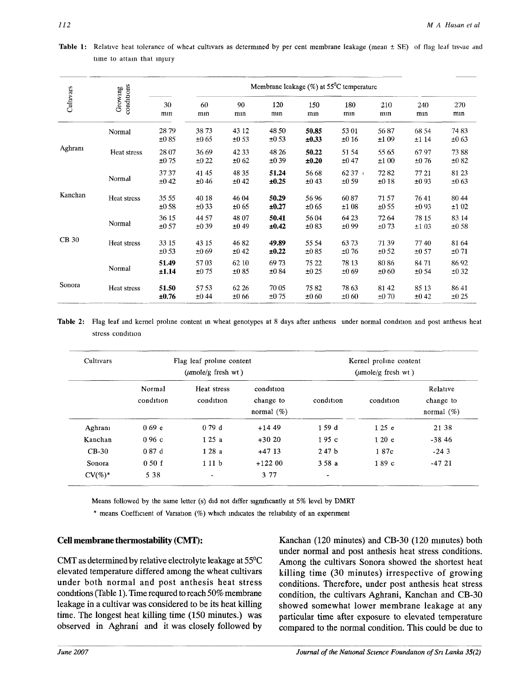| Table 1: Relative heat tolerance of wheat cultivars as determined by per cent membrane leakage (mean ± SE) of flag leaf tissue and |  |  |  |
|------------------------------------------------------------------------------------------------------------------------------------|--|--|--|
| time to attain that injury                                                                                                         |  |  |  |

|              |                       | Membrane leakage $(\%)$ at 55 <sup>°</sup> C temperature |                |               |                     |                    |                  |               |                    |                    |
|--------------|-----------------------|----------------------------------------------------------|----------------|---------------|---------------------|--------------------|------------------|---------------|--------------------|--------------------|
| Cultivars    | conditions<br>Growing | 30<br>mın                                                | 60<br>mın      | 90<br>mın     | 120<br>mın          | 150<br>mnn         | 180<br>mın       | 210<br>mnn    | 240<br>mın         | 270<br>mın         |
|              | Normal                | 2879<br>±085                                             | 3873<br>±0.65  | 43 12<br>±053 | 48 50<br>±053       | 50.85<br>±0.33     | 53 01<br>±016    | 5687<br>±109  | 68 54<br>±114      | 7483<br>±063       |
| Aghrani      | Heat stress           | 28 07<br>±0.75                                           | 36 69<br>±022  | 4233<br>±062  | 48 26<br>±039       | 50.22<br>±0.20     | 51 54<br>±047    | 55 65<br>±100 | 6797<br>±0.76      | 7388<br>±082       |
|              | Normal                | 3737<br>±042                                             | 4145<br>±046   | 48 35<br>±042 | 51.24<br>±0.25      | 56 68<br>±043      | $6237 +$<br>±059 | 7282<br>±018  | 77 21<br>±093      | 81 23<br>±063      |
| Kanchan      | Heat stress           | 35 55<br>±0.58                                           | 40 18<br>±033  | 46 04<br>±065 | 50.29<br>±0.27      | 5696<br>±065       | 6087<br>±108     | 7157<br>±055  | 7641<br>±093       | 80 44<br>±102      |
|              | Normal                | 36 15<br>±057                                            | 44 57<br>±0.39 | 48 07<br>±049 | 50.41<br>±0.42      | 5604<br>$\pm 0.83$ | 64 23<br>±099    | 72 64<br>±073 | 78 15<br>±103      | 83 14<br>±0.58     |
| <b>CB</b> 30 | Heat stress           | 33 15<br>±0.53                                           | 43 15<br>±069  | 4682<br>±042  | 49.89<br>±0.22      | 55 54<br>±085      | 6373<br>±0.76    | 7139<br>±052  | 7740<br>$\pm 0.57$ | 81 64<br>±071      |
|              | Normal                | 51.49<br>±1.14                                           | 5703<br>±075   | 62 10<br>±085 | 6973<br>±0.84       | 75 22<br>±0.25     | 78 13<br>±069    | 8086<br>±060  | 84 71<br>±0.54     | 8692<br>±032       |
| Sonora       | Heat stress           | 51.50<br>±0.76                                           | 5753<br>±044   | 62 26<br>±066 | 70 05<br>$\pm 0.75$ | 7582<br>±060       | 78 63<br>±060    | 8142<br>±070  | 85 13<br>±042      | 8641<br>$\pm 0.25$ |

Table 2: Flag leaf and kernel proline content in wheat genotypes at 8 days after anthesis under normal condition and post anthesis heat stress condition

| Cultivars  |                     | Flag leaf proline content<br>$(\mu \text{mole/g}$ fresh wt) |                                         | Kernel proline content<br>$(\mu \text{mole/g}$ fresh wt) |           |                                        |
|------------|---------------------|-------------------------------------------------------------|-----------------------------------------|----------------------------------------------------------|-----------|----------------------------------------|
|            | Normal<br>condition | Heat stress<br>condition                                    | condition<br>change to<br>normal $(\%)$ | condition                                                | condition | Relative<br>change to<br>normal $(\%)$ |
| Aghrani    | 0.69 <sub>e</sub>   | 079d                                                        | $+14.49$                                | 159 d                                                    | 125e      | 21 38                                  |
| Kanchan    | 0.96c               | 125a                                                        | $+3020$                                 | 195c                                                     | 120e      | $-3846$                                |
| $CB-30$    | 0.87d               | 128a                                                        | $+4713$                                 | 247 <sub>b</sub>                                         | 187c      | $-243$                                 |
| Sonora     | 050f                | 111 <sub>b</sub>                                            | $+12200$                                | 358a                                                     | 189c      | $-47.21$                               |
| $CV(\%)^*$ | 5 3 8               | $\blacksquare$                                              | 3 77                                    | $\overline{a}$                                           |           |                                        |
|            |                     |                                                             |                                         |                                                          |           |                                        |

Means followed by the same letter (s) did not differ significantly at 5% level by DMRT

\* means Coefficient of Variation (%) which indicates the reliability of an experiment

## Cell membrane thermostability (CMT):

CMT as determined by relative electrolyte leakage at 55°C elevated temperature differed among the wheat cultivars under both normal and post anthesis heat stress conditions (Table 1). Time required to reach 50% membrane leakage in a cultivar was considered to be its heat killing time. The longest heat killing time (150 minutes.) was observed in Aghrani and it was closely followed by

Kanchan (120 minutes) and CB-30 (120 minutes) both under normal and post anthesis heat stress conditions. Among the cultivars Sonora showed the shortest heat killing time (30 minutes) irrespective of growing conditions. Therefore, under post anthesis heat stress condition, the cultivars Aghrani, Kanchan and CB-30 showed somewhat lower membrane leakage at any particular time after exposure to elevated temperature compared to the normal condition. This could be due to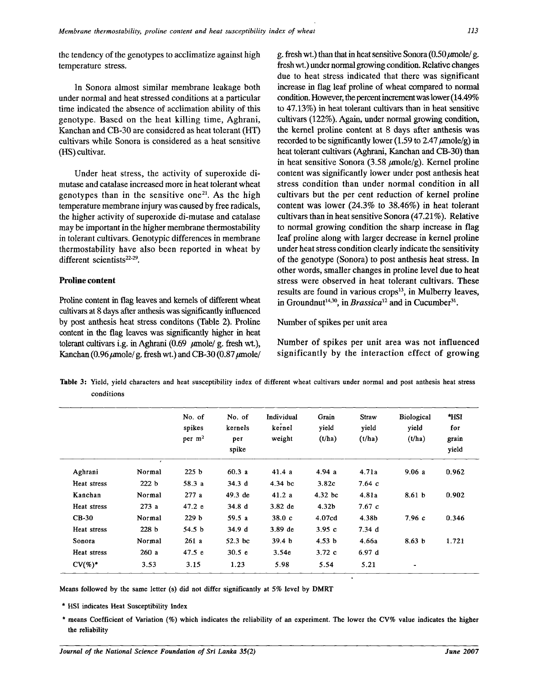the tendency of the genotypes to acclimatize against high temperature stress.

In Sonora almost similar membrane leakage both under normal and heat stressed conditions at a particular time indicated the absence of acclimation ability of this genotype. Based on the heat killing time, Aghrani, Kanchan and CB-30 are considered as heat tolerant (HT) cultivars while Sonora is considered as a heat sensitive (HS) cultivar.

Under heat stress, the activity of superoxide dimutase and catalase increased more in heat tolerant wheat genotypes than in the sensitive one<sup>21</sup>. As the high temperature membrane injury was caused by free radicals, the higher activity of superoxide di-mutase and catalase may be important in the higher membrane thermostability in tolerant cultivars. Genotypic differences in membrane thermostability have also been reported in wheat by different scientists<sup>22-29</sup>.

#### **Proline content**

Proline content in flag leaves and kernels of different wheat cultivars at 8 days after anthesis was significantly influenced by post anthesis heat stress conditons (Table 2). Proline content in the flag leaves was significantly higher in heat tolerant cultivars i.g. in Aghrani (0.69 *jumole/* g. fresh wt.), Kanchan (0.96  $\mu$ mole/g. fresh wt.) and CB-30 (0.87  $\mu$ mole/ g. fresh wt.) than that in heat sensitive Sonora  $(0.50 \mu \text{mole}/\text{g})$ . fresh wt.) under normal growing condition. Relative changes due to heat stress indicated that there was significant increase in flag leaf proline of wheat compared to normal condition. However, the percent increment was lower (14.49% to 47.13%) in heat tolerant cultivars than in heat sensitive cultivars (122%). Again, under normal growing condition, the kernel proline content at 8 days after anthesis was recorded to be significantly lower (1.59 to 2.47  $\mu$ mole/g) in heat tolerant cultivars (Aghrani, Kanchan and CB-30) than in heat sensitive Sonora (3.58  $\mu$ mole/g). Kernel proline content was significantly lower under post anthesis heat stress condition than under normal condition in all cultivars but the per cent reduction of kernel proline content was lower (24.3% to 38.46%) in heat tolerant cultivars than in heat sensitive Sonora (47.21%). Relative to normal growing condition the sharp increase in flag leaf proline along with larger decrease in kernel proline under heat stress condition clearly indicate the sensitivity of the genotype (Sonora) to post anthesis heat stress. In other words, smaller changes in proline level due to heat stress were observed in heat tolerant cultivars. These results are found in various crops<sup>13</sup>, in Mulberry leaves, in Groundnut<sup>14,30</sup>, in *Brassica*<sup>12</sup> and in Cucumber<sup>31</sup>.

#### Number of spikes per unit area

Number of spikes per unit area was not influenced significantly by the interaction effect of growing

**Table** 3: Yield, yield characters and heat susceptibility index of different wheat cultivars under normal and post anthesis heat stress conditions

|             |                  | No. of<br>spikes<br>per $m2$ | No. of<br>kernels<br>per<br>spike | Individual<br>kernel<br>weight | Grain<br>vield<br>(t/ha) | <b>Straw</b><br>yield<br>(t/ha) | Biological<br>yield<br>(t/ha) | *HSI<br>for<br>grain<br>yield |
|-------------|------------------|------------------------------|-----------------------------------|--------------------------------|--------------------------|---------------------------------|-------------------------------|-------------------------------|
| Aghrani     | Normal           | 225 <sub>b</sub>             | 60.3a                             | 41.4a                          | 4.94a                    | 4.71a                           | 9.06a                         | 0.962                         |
| Heat stress | 222 b            | 58.3a                        | 34.3d                             | $4.34~\mathrm{bc}$             | 3.82c                    | 7.64c                           |                               |                               |
| Kanchan     | Normal           | 277a                         | $49.3$ de                         | 41.2a                          | $4.32$ bc                | 4.81a                           | 8.61 <sub>b</sub>             | 0.902                         |
| Heat stress | 273a             | 47.2 e                       | 34.8 <sub>d</sub>                 | 3.82 de                        | 4.32 <sub>b</sub>        | 7.67c                           |                               |                               |
| $CB-30$     | Normal           | 229 <sub>b</sub>             | 59.5 a                            | 38.0c                          | 4.07 <sub>cd</sub>       | 4.38b                           | 7.96c                         | 0.346                         |
| Heat stress | 228 <sub>b</sub> | 54.5 b                       | 34.9 d                            | $3.89$ de                      | 3.95c                    | 7.34d                           |                               |                               |
| Sonora      | Normal           | 261a                         | 52.3 bc                           | 39.4 <sub>b</sub>              | 4.53 b                   | 4.66a                           | 8.63 <sub>b</sub>             | 1.721                         |
| Heat stress | 260a             | 47.5 e                       | 30.5 <sub>e</sub>                 | 3.54e                          | 3.72c                    | 6.97d                           |                               |                               |
| $CV(\%)^*$  | 3.53             | 3.15                         | 1.23                              | 5.98                           | 5.54                     | 5.21                            | $\blacksquare$                |                               |

Means followed by the same letter (s) did not differ significantly at *5%* level by **DMRT** 

\* HSI indicates Heat Susceptibility Index

\* means Coefficient of Variation (%) which indicates the reliability of an experiment. The lower the CV% value indicates the **higher**  the reliability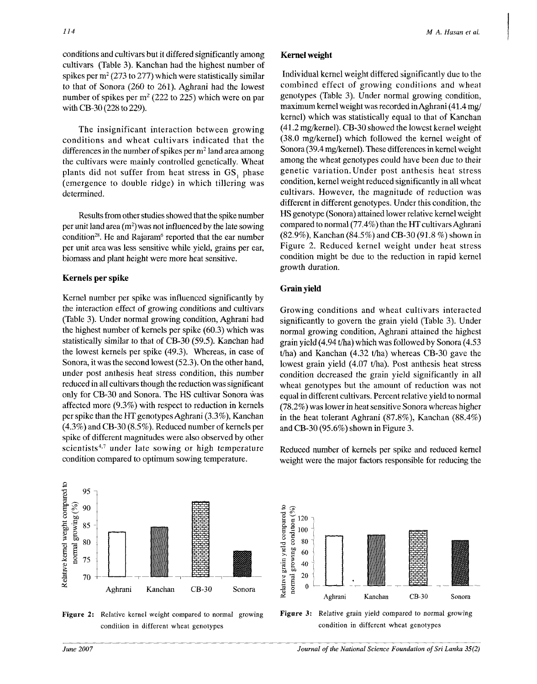conditions and cultivars but it differed significantly among cultivars (Table 3). Kanchan had the highest number of spikes per  $m^2$  (273 to 277) which were statistically similar to that of Sonora (260 to 261). Aghrani had the lowest number of spikes per  $m^2$  (222 to 225) which were on par with CB-30 (228 to 229).

The insignificant interaction between growing conditions and wheat cultivars indicated that the differences in the number of spikes per  $m^2$  land area among the cultivars were mainly controlled genetically. Wheat plants did not suffer from heat stress in GS, phase (emergence to double ridge) in which tillering was determined.

Results from other studies showed that the spike number per unit land area  $(m^2)$  was not influenced by the late sowing condition<sup>28</sup>. He and Rajaram<sup>6</sup> reported that the ear number per unit area was less sensitive while yield, grains per ear, biomass and plant height were more heat sensitive.

## **Kernels per spike**

Kernel number per spike was influenced significantly by the interaction effect of growing conditions and cultivars (Table 3). Under normal growing condition, Aghrani had the highest number of kernels per spike (60.3) which was statistically similar to that of CB-30 (59.5). Kanchan had the lowest kernels per spike (49.3). Whereas, in case of Sonora, it was the second lowest (52.3). On the other hand, under post anthesis heat stress condition, this number reduced in all cultivars though the reduction was significant only for CB-30 and Sonora. The HS cultivar Sonora was affected more (9.3%) with respect to reduction in kernels per spike than the HT genotypes Aghrani (3.3%), Kanchan (4.3%) and CB-30 (8.5%). Reduced number of kernels per spike of different magnitudes were also observed by other scientists<sup>4,7</sup> under late sowing or high temperature condition compared to optimum sowing temperature.

Individual kernel weight differed significantly due to the combined effect of growing conditions and wheat genotypes (Table 3). Under normal growing condition, maximum kernel weight was recorded in Aghrani (41.4 mg/ kernel) which was statistically equal to that of Kanchan (41.2 mg/kernel). CB-30 showed the lowest kernel weight (38.0 mg/kernel) which followed the kernel weight of Sonora (39.4 mg/kernel). These differences in kernel weight among the wheat genotypes could have been due to their genetic variation. Under post anthesis heat stress condition, kernel weight reduced significantly in all wheat cultivars. However, the magnitude of reduction was different in different genotypes. Under this condition, the HS genotype (Sonora) attained lower relative kernel weight compared to normal (77.4%) than the HT cultivars Aghrani (82.9%), Kanchan (84.5%) and CB-30 (91.8 %) shown in Figure 2. Reduced kernel weight under heat stress condition might be due to the reduction in rapid kernel growth duration.

## **Grain yield**

Growing conditions and wheat cultivars interacted significantly to govern the grain yield (Table 3). Under normal growing condition, Aghrani attained the highest grain yield (4.94 t/ha) which was followed by Sonora (4.53 t/ha) and Kanchan (4.32 t/ha) whereas CB-30 gave the lowest grain yield (4.07 t/ha). Post anthesis heat stress condition decreased the grain yield significantly in all wheat genotypes but the amount of reduction was not equal in different cultivars. Percent relative yield to normal (78.2%) was lower in heat sensitive Sonora whereas higher in the heat tolerant Aghrani (87.8%), Kanchan (88.4%) and CB-30 (95.6%) shown in Figure 3.

Reduced number of kernels per spike and reduced kernel weight were the major factors responsible for reducing the



**Figure 2:** Relative kernel weight compared to normal growing condition in different wheat genotypes





95 90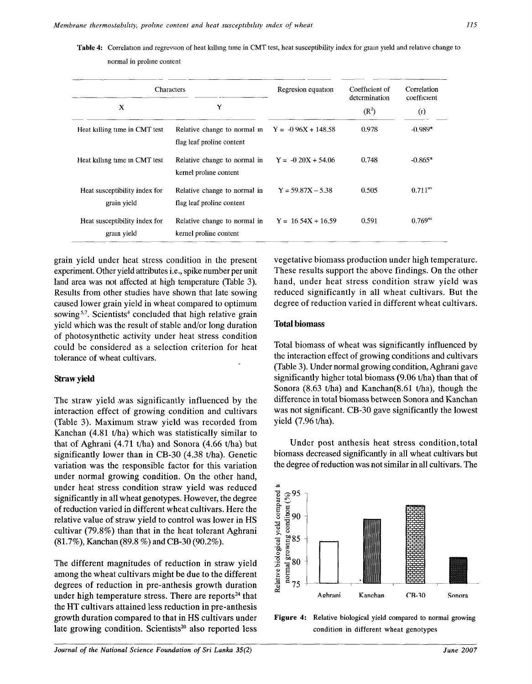**Table** 4: Correlation and regression of heat killing time in CMT test, heat susceptibility index for gram yield and relative change to

normal in proline content

|                                              | Characters                                                | Regresion equation    | Coefficient of<br>determination | Correlation<br>coefficient |  |
|----------------------------------------------|-----------------------------------------------------------|-----------------------|---------------------------------|----------------------------|--|
| Y<br>X                                       |                                                           |                       | $(R^2)$                         | (r)                        |  |
| Heat killing time in CMT test                | Relative change to normal in<br>flag leaf proline content | $Y = -0.96X + 148.58$ | 0.978                           | $-0.989*$                  |  |
| Heat killing time in CMT test                | Relative change to normal in<br>kernel proline content    | $Y = -0.20X + 54.06$  | 0.748                           | $-0.865*$                  |  |
| Heat susceptibility index for<br>grain yield | Relative change to normal in<br>flag leaf proline content | $Y = 59.87X - 5.38$   | 0.505                           | $0.711$ <sup>ns</sup>      |  |
| Heat susceptibility index for<br>gram yield  | Relative change to normal in<br>kernel proline content    | $Y = 1654X + 16.59$   | 0.591                           | $0.769^{ns}$               |  |

grain yield under heat stress condition in the present experiment. Other yield attributes i.e., spike number per unit land area was not affected at high temperature (Table 3). Results from other studies have shown that late sowing caused lower grain yield in wheat compared to optimum sowing<sup>5,7</sup>. Scientists<sup>4</sup> concluded that high relative grain yield which was the result of stable and/or long duration of photosynthetic activity under heat stress condition could be considered as a selection criterion for heat tolerance of wheat cultivars.

#### **Straw yield**

The straw yield ,was significantly influenced by the interaction effect of growing condition and cultivars (Table 3). Maximum straw yield was recorded from Kanchan (4.81 t/ha) which was statistically similar to that of Aghrani (4.71 t/ha) and Sonora (4.66 t/ha) but significantly lower than in CB-30 (4.38 t/ha). Genetic variation was the responsible factor for this variation under normal growing condition. On the other hand, under heat stress condition straw yield was reduced significantly in all wheat genotypes. However, the degree of reduction varied in different wheat cultivars. Here the relative value of straw yield to control was lower in HS cultivar (79.8%) than that in the heat tolerant Aghrani (81.7%), Kanchan (89.8 %) and CB-30 (90.2%).

The different magnitudes of reduction in straw yield among the wheat cultivars might be due to the different degrees of reduction in pre-anthesis growth duration under high temperature stress. There are reports<sup>24</sup> that the HT cultivars attained less reduction in pre-anthesis growth duration compared to that in HS cultivars under late growing condition. Scientists<sup>20</sup> also reported less vegetative biomass production under high temperature. These results support the above findings. On the other hand, under heat stress condition straw yield was reduced significantly in all wheat cultivars. But the degree of reduction varied in different wheat cultivars.

#### **Total** biomass

Total biomass of wheat was significantly influenced by the interaction effect of growing conditions and cultivars (Table 3). Under normal growing condition, Aghrani gave significantly higher total biomass (9.06 t/ha) than that of Sonora (8.63 t/ha) and Kanchan(8.61 t/ha), though the difference in total biomass between Sonora and Kanchan was not significant. CB-30 gave significantly the lowest yield (7.96 t/ha).

Under post anthesis heat stress condition, total biomass decreased significantly in all wheat cultivars but the degree of reduction was not similar in all cultivars. The



**Figure 4:**  Relative biological yield compared to normal growing condition in different wheat genotypes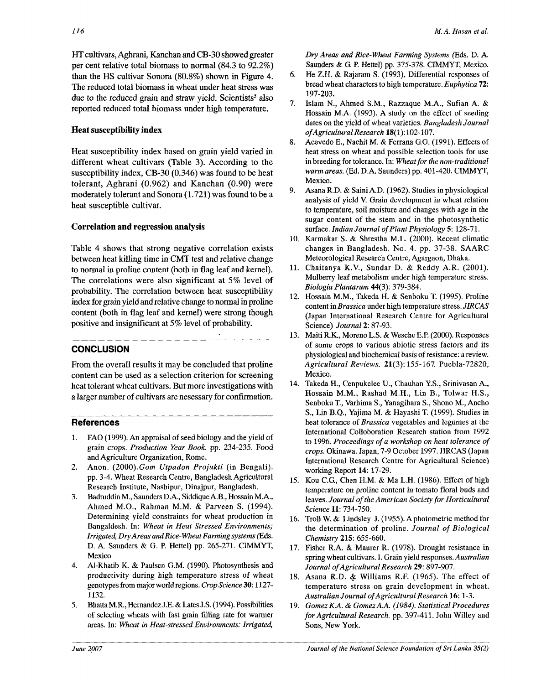HT cultivars, Aghrani, Kanchan and CB-30 showed greater per cent relative total biomass to normal (84.3 to 92.2%) than the HS cultivar Sonora (80.8%) shown in Figure *4,*  The reduced total biomass in wheat under heat stress was due to the reduced grain and straw yield. Scientists<sup>5</sup> also reported reduced total biomass under high temperature.

# **Heat susceptibility index**

Heat susceptibility index based on grain yield varied in different wheat cultivars (Table 3). According to the susceptibility index, CB-30 (0.346) was found to be heat tolerant, Aghrani (0.962) and Kanchan (0.90) were moderately tolerant and Sonora (1.721) was found to be a heat susceptible cultivar.

# **Correlation and regression analysis**

Table 4 shows that strong negative correlation exists between heat killing time in CMT test and relative change to normal in proline content (both in flag leaf and kernel). The correlations were also significant at 5% level of probability. The correlation between heat susceptibility index for grain yield and relative change to normal in proline content (both in flag leaf and kernel) were strong though positive and insignificant at 5% level of probability.

# **CONCLUSION**

From the overall results it may be concluded that proline content can be used as a selection criterion for screening heat tolerant wheat cultivars. But more investigations with a larger number of cultivars are nesessary for confirmation.

# **References**

- 1. FAO (1999). An appraisal of seed biology and the yield of grain crops. *Production Year Book.* pp. 234-235. Food and Agriculture Organization, Rome.
- 2. Anon. (2000).*Gom Utpadon Projukti* (in Bengali). pp. 3-4. Wheat Research Centre, Bangladesh Agricultural Research Institute, Nashipur, Dinajpur, Bangladesh.
- 3. Badruddin M, Saunders D.A., Siddique A.B., Hossain M.A., Ahmed M.O., Rahman M.M. & Parveen S. (1994). Determining yield constraints for wheat production in Bangaldesh. In: *Wheat in Heat Stressed Environments; Irrigated, Dry Areas and Rice-Wheat Farming systems* (Eds. D. A. Saunders & G. P. Hettel) pp. 265-271. CIMMYT, Mexico.
- 4. Al-Khatib K. & Paulsen G.M. (1990). Photosynthesis and productivity during high temperature stress of wheat genotypes from major world regions. *Crop Science* 30:1127- 1132.
- 5. Bhatta M.R., Hernandez J.E. & Lates J.S. (1994). Possibilities of selecting wheats with fast grain filling rate for warmer areas. In: *Wheat in Heat-stressed Environments: Irrigated,*

*Dry Areas and Rice-Wheat Farming Systems* (Eds. D. A. Saunders & G P. Hettel) pp. 375-378. CIMMYT, Mexico.

- 6. He Z.H. & Rajaram S. (1993). Differential responses of bread wheat characters to high temperature. *Euphytica* 72: 197-203.
- 7. Islam N., Ahmed S.M., Razzaque M.A., Sufian A. & Hossain M.A. (1993). A study on the effect of seeding dates on the yield of wheat varieties. *Bangladesh Journal of Agricultural Research* 18(1):102-107.
- 8. Acevedo E., Nachit M. & Ferrana GO. (1991). Effects of heat stress on wheat and possible selection tools for use in breeding for tolerance. In: *Wheat for the non-traditional warm areas.* (Ed. D.A. Saunders) pp. 401-420. CIMMYT, Mexico.
- 9. Asana R.D. & Saini AD. (1962). Studies in physiological analysis of yield V. Grain development in wheat relation to temperature, soil moisture and changes with age in the sugar content of the stem and in the photosynthetic surface. *Indian Journal of Plant Physiology* 5:128-71.
- 10. Karmakar S. & Shrestha M.L. (2000). Recent climatic changes in Bangladesh. No. 4. pp. 37-38. SAARC Meteorological Research Centre, Agargaon, Dhaka.
- 11. Chaitanya K.V., Sundar D. & Reddy A.R. (2001). Mulberry leaf metabolism under high temperature stress. *Biologia Plantarum* 44(3): 379-384.
- 12. Hossain M.M., Takeda H. & Senboku T. (1995). Proline content in *Brassica* under high temperature stress. *JIRCAS*  (Japan International Research Centre for Agricultural Science) *Journal* 2: 87-93.
- 13. Maiti R.K., Moreno L.S. & Wesche E.P. (2000). Responses of some crops to various abiotic stress factors and its physiological and biochemical basis of resistance: a review. *Agricultural Reviews.* 21(3): 155-167. Puebla-72820, Mexico.
- 14. Takeda H., Cenpukelee U., Chauhan Y.S., Srinivasan A., Hossain M.M., Rashad M.H., Lin B., Tolwar H.S., Senboku T., Varhima S., Yanagihara S., Shono M., Ancho S., Lin B.Q., Yajima M. & Hayashi T. (1999). Studies in heat tolerance of *Brassica* vegetables and legumes at the International Colloboration Research station from 1992 to 1996. *Proceedings of a workshop on heat tolerance of crops.* Okinawa. Japan, 7-9 October 1997. JIRCAS (Japan International Research Centre for Agricultural Science) working Report 14: 17-29.
- 15. Kou *C.G.,* Chen H.M. & Ma L.H. (1986). Effect of high temperature on proline content in tomato floral buds and leaves. *Journal of the American Society for Horticultural Science* **11:**734-750.
- 16. Troll W. & Lindsley J. (1955). A photometric method for the determination of proline. *Journal of Biological Chemistry* **215:** 655-660.
- 17. Fisher R.A. & Maurer R. (1978). Drought resistance in spring wheat cultivars. I. Grain yield responses. *Australian Journal of Agricultural Research* 29: 897-907.
- 18. Asana R.D. & Williams R.F. (1965). The effect of temperature stress on grain development in wheat. *Australian Journal of Agricultural Research* 16:1-3.
- 19. *Gomez KA. & Gomez A A. (1984). Statistical Procedures for Agricultural Research,* pp. 397-411. John Willey and Sons, New York.